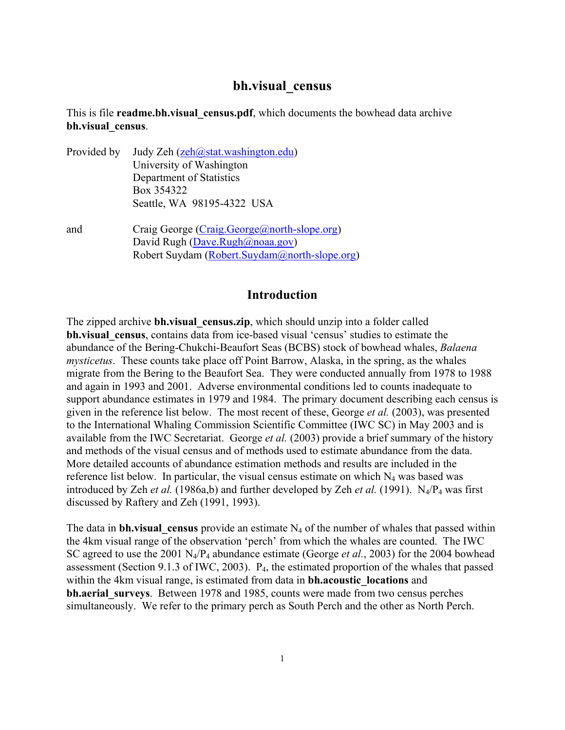# **bh.visual\_census**

## This is file **readme.bh.visual\_census.pdf**, which documents the bowhead data archive **bh.visual\_census**.

- Provided by Judy Zeh [\(zeh@stat.washington.edu\)](mailto:zeh@stat.washington.edu) University of Washington Department of Statistics Box 354322 Seattle, WA 98195-4322 USA
- and Craig George [\(Craig.George@north-slope.org\)](mailto:Craig.George@north-slope.org) David Rugh [\(Dave.Rugh@noaa.gov](mailto:dave.rugh@noaa.gov)) Robert Suydam ([Robert.Suydam@north-slope.org\)](mailto:Robert.Suydam@north-slope.org)

## **Introduction**

The zipped archive **bh.visual** census.zip, which should unzip into a folder called **bh.visual\_census**, contains data from ice-based visual 'census' studies to estimate the abundance of the Bering-Chukchi-Beaufort Seas (BCBS) stock of bowhead whales, *Balaena mysticetus*. These counts take place off Point Barrow, Alaska, in the spring, as the whales migrate from the Bering to the Beaufort Sea. They were conducted annually from 1978 to 1988 and again in 1993 and 2001. Adverse environmental conditions led to counts inadequate to support abundance estimates in 1979 and 1984. The primary document describing each census is given in the reference list below. The most recent of these, George *et al.* (2003), was presented to the International Whaling Commission Scientific Committee (IWC SC) in May 2003 and is available from the IWC Secretariat. George *et al.* (2003) provide a brief summary of the history and methods of the visual census and of methods used to estimate abundance from the data. More detailed accounts of abundance estimation methods and results are included in the reference list below. In particular, the visual census estimate on which  $N_4$  was based was introduced by Zeh *et al.* (1986a,b) and further developed by Zeh *et al.* (1991).  $N_4/P_4$  was first discussed by Raftery and Zeh (1991, 1993).

The data in **bh.visual** census provide an estimate N<sub>4</sub> of the number of whales that passed within the 4km visual range of the observation 'perch' from which the whales are counted. The IWC SC agreed to use the 2001 N4/P4 abundance estimate (George *et al.*, 2003) for the 2004 bowhead assessment (Section 9.1.3 of IWC, 2003). P4, the estimated proportion of the whales that passed within the 4km visual range, is estimated from data in **bh.acoustic** locations and **bh.aerial surveys**. Between 1978 and 1985, counts were made from two census perches simultaneously. We refer to the primary perch as South Perch and the other as North Perch.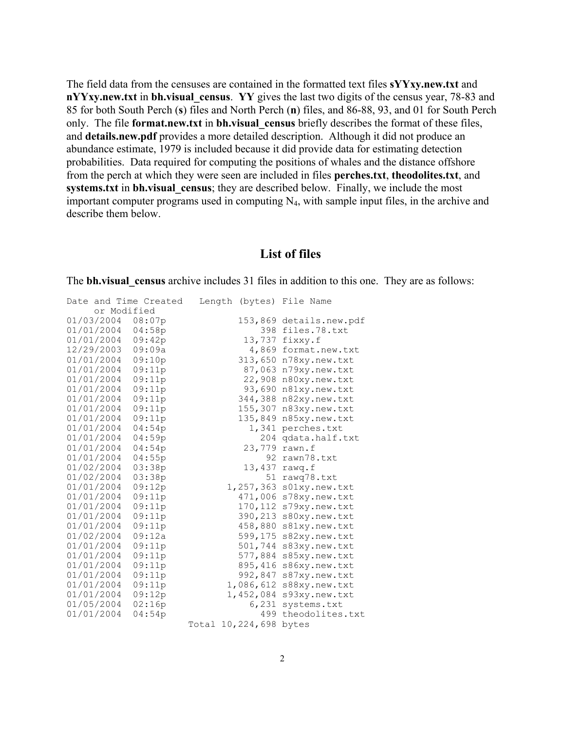The field data from the censuses are contained in the formatted text files **sYYxy.new.txt** and **nYYxy.new.txt** in **bh.visual** census. YY gives the last two digits of the census year, 78-83 and 85 for both South Perch (**s**) files and North Perch (**n**) files, and 86-88, 93, and 01 for South Perch only. The file **format.new.txt** in **bh.visual\_census** briefly describes the format of these files, and **details.new.pdf** provides a more detailed description. Although it did not produce an abundance estimate, 1979 is included because it did provide data for estimating detection probabilities. Data required for computing the positions of whales and the distance offshore from the perch at which they were seen are included in files **perches.txt**, **theodolites.txt**, and **systems.txt** in **bh.visual** census; they are described below. Finally, we include the most important computer programs used in computing  $N<sub>4</sub>$ , with sample input files, in the archive and describe them below.

#### **List of files**

The **bh.visual** census archive includes 31 files in addition to this one. They are as follows:

| Date and Time Created |        | Length |            | (bytes) File Name |
|-----------------------|--------|--------|------------|-------------------|
| or Modified           |        |        |            |                   |
| 01/03/2004            | 08:07p |        | 153,869    | details.new.pdf   |
| 01/01/2004            | 04:58p |        | 398        | files.78.txt      |
| 01/01/2004            | 09:42p |        | 13,737     | fixxy.f           |
| 12/29/2003            | 09:09a |        | 4,869      | format.new.txt    |
| 01/01/2004            | 09:10p |        | 313,650    | n78xy.new.txt     |
| 01/01/2004            | 09:11p |        | 87,063     | n79xy.new.txt     |
| 01/01/2004            | 09:11p |        | 22,908     | n80xy.new.txt     |
| 01/01/2004            | 09:11p |        | 93,690     | n81xy.new.txt     |
| 01/01/2004            | 09:11p |        | 344,388    | n82xy.new.txt     |
| 01/01/2004            | 09:11p |        | 155,307    | n83xy.new.txt     |
| 01/01/2004            | 09:11p |        | 135,849    | n85xy.new.txt     |
| 01/01/2004            | 04:54p |        | 1,341      | perches.txt       |
| 01/01/2004            | 04:59p |        | 204        | qdata.half.txt    |
| 01/01/2004            | 04:54p |        | 23,779     | rawn.f            |
| 01/01/2004            | 04:55p |        | 92         | rawn78.txt        |
| 01/02/2004            | 03:38p |        | 13,437     | rawq.f            |
| 01/02/2004            | 03:38p |        | 51         | rawq78.txt        |
| 01/01/2004            | 09:12p |        | 1,257,363  | s01xy.new.txt     |
| 01/01/2004            | 09:11p |        | 471,006    | s78xy.new.txt     |
| 01/01/2004            | 09:11p |        | 170,112    | s79xy.new.txt     |
| 01/01/2004            | 09:11p |        | 390,213    | s80xy.new.txt     |
| 01/01/2004            | 09:11p |        | 458,880    | s81xy.new.txt     |
| 01/02/2004            | 09:12a |        | 599,175    | s82xy.new.txt     |
| 01/01/2004            | 09:11p |        | 501,744    | s83xy.new.txt     |
| 01/01/2004            | 09:11p |        | 577,884    | s85xy.new.txt     |
| 01/01/2004            | 09:11p |        | 895,416    | s86xy.new.txt     |
| 01/01/2004            | 09:11p |        | 992,847    | s87xy.new.txt     |
| 01/01/2004            | 09:11p |        | 1,086,612  | s88xy.new.txt     |
| 01/01/2004            | 09:12p |        | 1,452,084  | s93xy.new.txt     |
| 01/05/2004            | 02:16p |        | 6,231      | systems.txt       |
| 01/01/2004            | 04:54p |        | 499        | theodolites.txt   |
|                       |        | Total  | 10,224,698 | bytes             |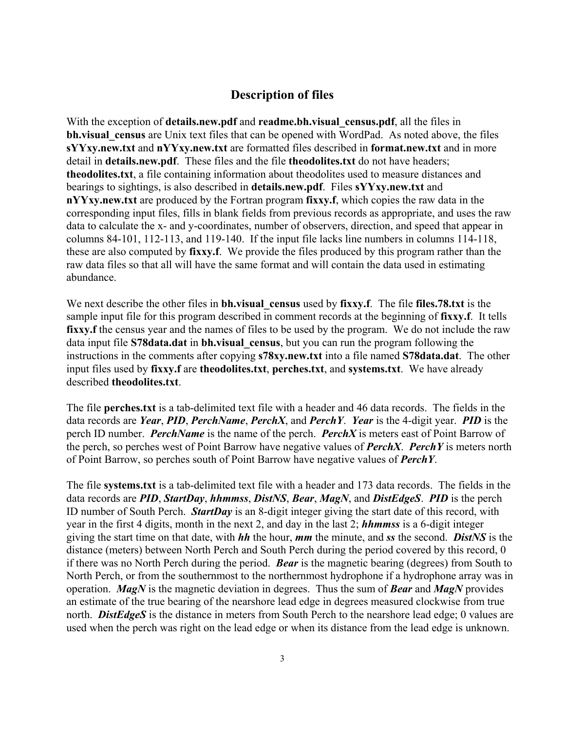# **Description of files**

With the exception of **details.new.pdf** and **readme.bh.visual** census.pdf, all the files in **bh.visual census** are Unix text files that can be opened with WordPad. As noted above, the files **sYYxy.new.txt** and **nYYxy.new.txt** are formatted files described in **format.new.txt** and in more detail in **details.new.pdf**. These files and the file **theodolites.txt** do not have headers; **theodolites.txt**, a file containing information about theodolites used to measure distances and bearings to sightings, is also described in **details.new.pdf**. Files **sYYxy.new.txt** and **nYYxy.new.txt** are produced by the Fortran program **fixxy.f**, which copies the raw data in the corresponding input files, fills in blank fields from previous records as appropriate, and uses the raw data to calculate the x- and y-coordinates, number of observers, direction, and speed that appear in columns 84-101, 112-113, and 119-140. If the input file lacks line numbers in columns 114-118, these are also computed by **fixxy.f**. We provide the files produced by this program rather than the raw data files so that all will have the same format and will contain the data used in estimating abundance.

We next describe the other files in **bh.visual** census used by fixxy.f. The file files.78.txt is the sample input file for this program described in comment records at the beginning of **fixxy.f**. It tells **fixxy.f** the census year and the names of files to be used by the program. We do not include the raw data input file **S78data.dat** in **bh.visual\_census**, but you can run the program following the instructions in the comments after copying **s78xy.new.txt** into a file named **S78data.dat**. The other input files used by **fixxy.f** are **theodolites.txt**, **perches.txt**, and **systems.txt**. We have already described **theodolites.txt**.

The file **perches.txt** is a tab-delimited text file with a header and 46 data records. The fields in the data records are *Year*, *PID*, *PerchName*, *PerchX*, and *PerchY*. *Year* is the 4-digit year. *PID* is the perch ID number. *PerchName* is the name of the perch. *PerchX* is meters east of Point Barrow of the perch, so perches west of Point Barrow have negative values of *PerchX*. *PerchY* is meters north of Point Barrow, so perches south of Point Barrow have negative values of *PerchY*.

The file **systems.txt** is a tab-delimited text file with a header and 173 data records. The fields in the data records are *PID*, *StartDay*, *hhmmss*, *DistNS*, *Bear*, *MagN*, and *DistEdgeS*. *PID* is the perch ID number of South Perch. *StartDay* is an 8-digit integer giving the start date of this record, with year in the first 4 digits, month in the next 2, and day in the last 2; *hhmmss* is a 6-digit integer giving the start time on that date, with *hh* the hour, *mm* the minute, and *ss* the second. *DistNS* is the distance (meters) between North Perch and South Perch during the period covered by this record, 0 if there was no North Perch during the period. *Bear* is the magnetic bearing (degrees) from South to North Perch, or from the southernmost to the northernmost hydrophone if a hydrophone array was in operation. *MagN* is the magnetic deviation in degrees. Thus the sum of *Bear* and *MagN* provides an estimate of the true bearing of the nearshore lead edge in degrees measured clockwise from true north. **DistEdgeS** is the distance in meters from South Perch to the nearshore lead edge; 0 values are used when the perch was right on the lead edge or when its distance from the lead edge is unknown.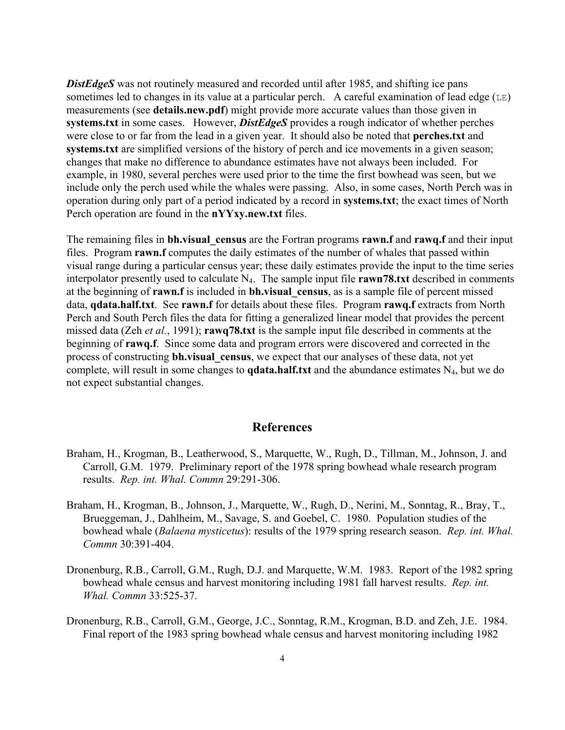**DistEdgeS** was not routinely measured and recorded until after 1985, and shifting ice pans sometimes led to changes in its value at a particular perch. A careful examination of lead edge  $(LE)$ measurements (see **details.new.pdf**) might provide more accurate values than those given in **systems.txt** in some cases. However, *DistEdgeS* provides a rough indicator of whether perches were close to or far from the lead in a given year. It should also be noted that **perches.txt** and **systems.txt** are simplified versions of the history of perch and ice movements in a given season; changes that make no difference to abundance estimates have not always been included. For example, in 1980, several perches were used prior to the time the first bowhead was seen, but we include only the perch used while the whales were passing. Also, in some cases, North Perch was in operation during only part of a period indicated by a record in **systems.txt**; the exact times of North Perch operation are found in the **nYYxy.new.txt** files.

The remaining files in **bh.visual\_census** are the Fortran programs **rawn.f** and **rawq.f** and their input files. Program **rawn.f** computes the daily estimates of the number of whales that passed within visual range during a particular census year; these daily estimates provide the input to the time series interpolator presently used to calculate N4. The sample input file **rawn78.txt** described in comments at the beginning of **rawn.f** is included in **bh.visual\_census**, as is a sample file of percent missed data, **qdata.half.txt**. See **rawn.f** for details about these files. Program **rawq.f** extracts from North Perch and South Perch files the data for fitting a generalized linear model that provides the percent missed data (Zeh *et al.*, 1991); **rawq78.txt** is the sample input file described in comments at the beginning of **rawq.f**. Since some data and program errors were discovered and corrected in the process of constructing **bh.visual\_census**, we expect that our analyses of these data, not yet complete, will result in some changes to **qdata.half.txt** and the abundance estimates N<sub>4</sub>, but we do not expect substantial changes.

#### **References**

- Braham, H., Krogman, B., Leatherwood, S., Marquette, W., Rugh, D., Tillman, M., Johnson, J. and Carroll, G.M. 1979. Preliminary report of the 1978 spring bowhead whale research program results. *Rep. int. Whal. Commn* 29:291-306.
- Braham, H., Krogman, B., Johnson, J., Marquette, W., Rugh, D., Nerini, M., Sonntag, R., Bray, T., Brueggeman, J., Dahlheim, M., Savage, S. and Goebel, C. 1980. Population studies of the bowhead whale (*Balaena mysticetus*): results of the 1979 spring research season. *Rep. int. Whal. Commn* 30:391-404.
- Dronenburg, R.B., Carroll, G.M., Rugh, D.J. and Marquette, W.M. 1983. Report of the 1982 spring bowhead whale census and harvest monitoring including 1981 fall harvest results. *Rep. int. Whal. Commn* 33:525-37.
- Dronenburg, R.B., Carroll, G.M., George, J.C., Sonntag, R.M., Krogman, B.D. and Zeh, J.E. 1984. Final report of the 1983 spring bowhead whale census and harvest monitoring including 1982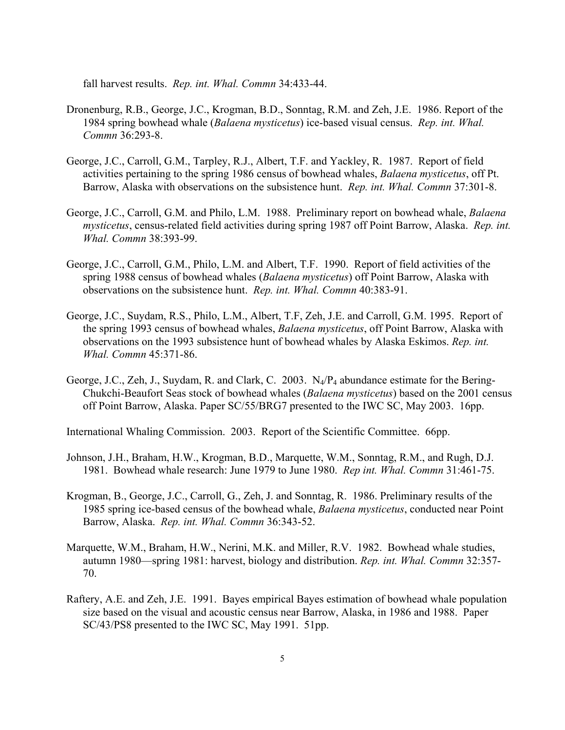fall harvest results. *Rep. int. Whal. Commn* 34:433-44.

- Dronenburg, R.B., George, J.C., Krogman, B.D., Sonntag, R.M. and Zeh, J.E. 1986. Report of the 1984 spring bowhead whale (*Balaena mysticetus*) ice-based visual census. *Rep. int. Whal. Commn* 36:293-8.
- George, J.C., Carroll, G.M., Tarpley, R.J., Albert, T.F. and Yackley, R. 1987. Report of field activities pertaining to the spring 1986 census of bowhead whales, *Balaena mysticetus*, off Pt. Barrow, Alaska with observations on the subsistence hunt. *Rep. int. Whal. Commn* 37:301-8.
- George, J.C., Carroll, G.M. and Philo, L.M. 1988. Preliminary report on bowhead whale, *Balaena mysticetus*, census-related field activities during spring 1987 off Point Barrow, Alaska. *Rep. int. Whal. Commn* 38:393-99.
- George, J.C., Carroll, G.M., Philo, L.M. and Albert, T.F. 1990. Report of field activities of the spring 1988 census of bowhead whales (*Balaena mysticetus*) off Point Barrow, Alaska with observations on the subsistence hunt. *Rep. int. Whal. Commn* 40:383-91.
- George, J.C., Suydam, R.S., Philo, L.M., Albert, T.F, Zeh, J.E. and Carroll, G.M. 1995. Report of the spring 1993 census of bowhead whales, *Balaena mysticetus*, off Point Barrow, Alaska with observations on the 1993 subsistence hunt of bowhead whales by Alaska Eskimos. *Rep. int. Whal. Commn* 45:371-86.
- George, J.C., Zeh, J., Suydam, R. and Clark, C. 2003. N4/P4 abundance estimate for the Bering-Chukchi-Beaufort Seas stock of bowhead whales (*Balaena mysticetus*) based on the 2001 census off Point Barrow, Alaska. Paper SC/55/BRG7 presented to the IWC SC, May 2003. 16pp.

International Whaling Commission. 2003. Report of the Scientific Committee. 66pp.

- Johnson, J.H., Braham, H.W., Krogman, B.D., Marquette, W.M., Sonntag, R.M., and Rugh, D.J. 1981. Bowhead whale research: June 1979 to June 1980. *Rep int. Whal. Commn* 31:461-75.
- Krogman, B., George, J.C., Carroll, G., Zeh, J. and Sonntag, R. 1986. Preliminary results of the 1985 spring ice-based census of the bowhead whale, *Balaena mysticetus*, conducted near Point Barrow, Alaska. *Rep. int. Whal. Commn* 36:343-52.
- Marquette, W.M., Braham, H.W., Nerini, M.K. and Miller, R.V. 1982. Bowhead whale studies, autumn 1980—spring 1981: harvest, biology and distribution. *Rep. int. Whal. Commn* 32:357- 70.
- Raftery, A.E. and Zeh, J.E. 1991. Bayes empirical Bayes estimation of bowhead whale population size based on the visual and acoustic census near Barrow, Alaska, in 1986 and 1988. Paper SC/43/PS8 presented to the IWC SC, May 1991. 51pp.